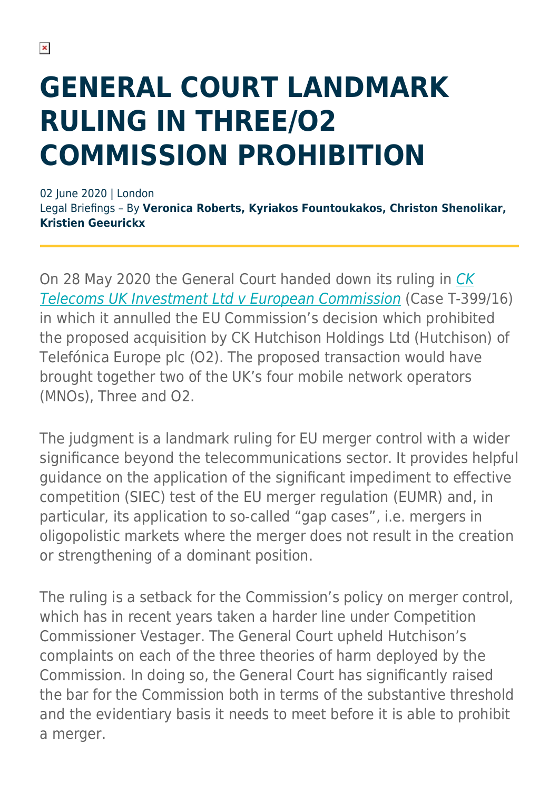# **GENERAL COURT LANDMARK RULING IN THREE/O2 COMMISSION PROHIBITION**

02 June 2020 | London Legal Briefings – By **Veronica Roberts, Kyriakos Fountoukakos, Christon Shenolikar, Kristien Geeurickx**

On 28 May 2020 the General Court handed down its ruling in [CK](http://curia.europa.eu/juris/document/document.jsf;jsessionid=9E883722A28D0964436D164C31FF676E?text=&docid=226867&pageIndex=0&doclang=EN&mode=lst&dir=&occ=first&part=1&cid=2404178) [Telecoms UK Investment Ltd v European Commission](http://curia.europa.eu/juris/document/document.jsf;jsessionid=9E883722A28D0964436D164C31FF676E?text=&docid=226867&pageIndex=0&doclang=EN&mode=lst&dir=&occ=first&part=1&cid=2404178) (Case T-399/16) in which it annulled the EU Commission's decision which prohibited the proposed acquisition by CK Hutchison Holdings Ltd (Hutchison) of Telefónica Europe plc (O2). The proposed transaction would have brought together two of the UK's four mobile network operators (MNOs), Three and O2.

The judgment is a landmark ruling for EU merger control with a wider significance beyond the telecommunications sector. It provides helpful guidance on the application of the significant impediment to effective competition (SIEC) test of the EU merger regulation (EUMR) and, in particular, its application to so-called "gap cases", i.e. mergers in oligopolistic markets where the merger does not result in the creation or strengthening of a dominant position.

The ruling is a setback for the Commission's policy on merger control, which has in recent years taken a harder line under Competition Commissioner Vestager. The General Court upheld Hutchison's complaints on each of the three theories of harm deployed by the Commission. In doing so, the General Court has significantly raised the bar for the Commission both in terms of the substantive threshold and the evidentiary basis it needs to meet before it is able to prohibit a merger.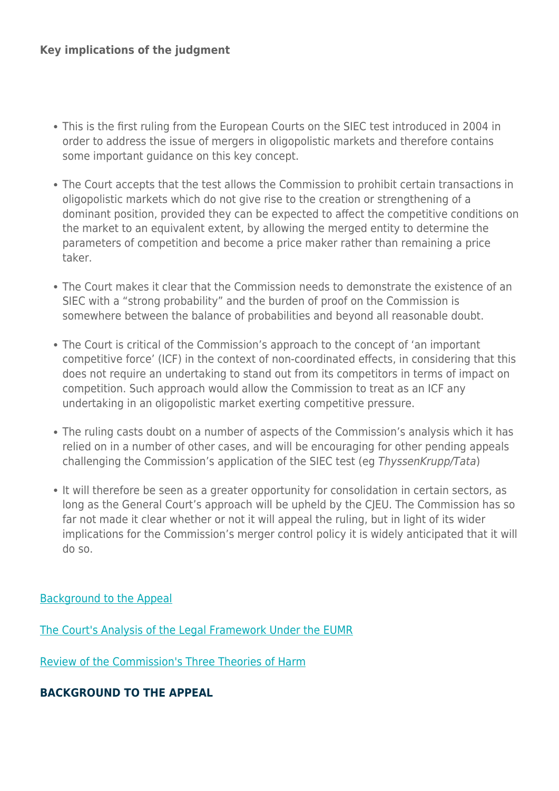- This is the first ruling from the European Courts on the SIEC test introduced in 2004 in order to address the issue of mergers in oligopolistic markets and therefore contains some important guidance on this key concept.
- The Court accepts that the test allows the Commission to prohibit certain transactions in oligopolistic markets which do not give rise to the creation or strengthening of a dominant position, provided they can be expected to affect the competitive conditions on the market to an equivalent extent, by allowing the merged entity to determine the parameters of competition and become a price maker rather than remaining a price taker.
- The Court makes it clear that the Commission needs to demonstrate the existence of an SIEC with a "strong probability" and the burden of proof on the Commission is somewhere between the balance of probabilities and beyond all reasonable doubt.
- The Court is critical of the Commission's approach to the concept of 'an important competitive force' (ICF) in the context of non-coordinated effects, in considering that this does not require an undertaking to stand out from its competitors in terms of impact on competition. Such approach would allow the Commission to treat as an ICF any undertaking in an oligopolistic market exerting competitive pressure.
- The ruling casts doubt on a number of aspects of the Commission's analysis which it has relied on in a number of other cases, and will be encouraging for other pending appeals challenging the Commission's application of the SIEC test (eg ThyssenKrupp/Tata)
- It will therefore be seen as a greater opportunity for consolidation in certain sectors, as long as the General Court's approach will be upheld by the CJEU. The Commission has so far not made it clear whether or not it will appeal the ruling, but in light of its wider implications for the Commission's merger control policy it is widely anticipated that it will do so.

#### [Background to the Appeal](https://www.herbertsmithfreehills.com/hsfpdf/latest-thinking/general-court-landmark-ruling-in-threeo2-commission-prohibition#Background)

[The Court's Analysis of the Legal Framework Under the EUMR](https://www.herbertsmithfreehills.com/hsfpdf/latest-thinking/general-court-landmark-ruling-in-threeo2-commission-prohibition#Courts)

[Review of the Commission's Three Theories of Harm](https://www.herbertsmithfreehills.com/hsfpdf/latest-thinking/general-court-landmark-ruling-in-threeo2-commission-prohibition#Harm)

#### **BACKGROUND TO THE APPEAL**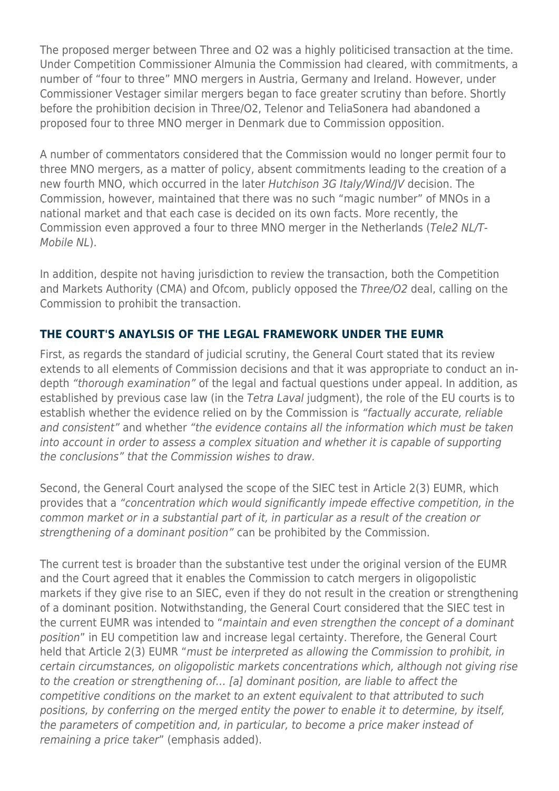The proposed merger between Three and O2 was a highly politicised transaction at the time. Under Competition Commissioner Almunia the Commission had cleared, with commitments, a number of "four to three" MNO mergers in Austria, Germany and Ireland. However, under Commissioner Vestager similar mergers began to face greater scrutiny than before. Shortly before the prohibition decision in Three/O2, Telenor and TeliaSonera had abandoned a proposed four to three MNO merger in Denmark due to Commission opposition.

A number of commentators considered that the Commission would no longer permit four to three MNO mergers, as a matter of policy, absent commitments leading to the creation of a new fourth MNO, which occurred in the later Hutchison 3G Italy/Wind/JV decision. The Commission, however, maintained that there was no such "magic number" of MNOs in a national market and that each case is decided on its own facts. More recently, the Commission even approved a four to three MNO merger in the Netherlands (Tele2 NL/T-Mobile NL).

In addition, despite not having jurisdiction to review the transaction, both the Competition and Markets Authority (CMA) and Ofcom, publicly opposed the Three/O2 deal, calling on the Commission to prohibit the transaction.

#### **THE COURT'S ANAYLSIS OF THE LEGAL FRAMEWORK UNDER THE EUMR**

First, as regards the standard of judicial scrutiny, the General Court stated that its review extends to all elements of Commission decisions and that it was appropriate to conduct an indepth "thorough examination" of the legal and factual questions under appeal. In addition, as established by previous case law (in the Tetra Laval judgment), the role of the EU courts is to establish whether the evidence relied on by the Commission is "factually accurate, reliable and consistent" and whether "the evidence contains all the information which must be taken into account in order to assess a complex situation and whether it is capable of supporting the conclusions" that the Commission wishes to draw.

Second, the General Court analysed the scope of the SIEC test in Article 2(3) EUMR, which provides that a "concentration which would significantly impede effective competition, in the common market or in a substantial part of it, in particular as a result of the creation or strengthening of a dominant position" can be prohibited by the Commission.

The current test is broader than the substantive test under the original version of the EUMR and the Court agreed that it enables the Commission to catch mergers in oligopolistic markets if they give rise to an SIEC, even if they do not result in the creation or strengthening of a dominant position. Notwithstanding, the General Court considered that the SIEC test in the current EUMR was intended to "maintain and even strengthen the concept of a dominant position" in EU competition law and increase legal certainty. Therefore, the General Court held that Article 2(3) EUMR "must be interpreted as allowing the Commission to prohibit, in certain circumstances, on oligopolistic markets concentrations which, although not giving rise to the creation or strengthening of… [a] dominant position, are liable to affect the competitive conditions on the market to an extent equivalent to that attributed to such positions, by conferring on the merged entity the power to enable it to determine, by itself, the parameters of competition and, in particular, to become a price maker instead of remaining a price taker" (emphasis added).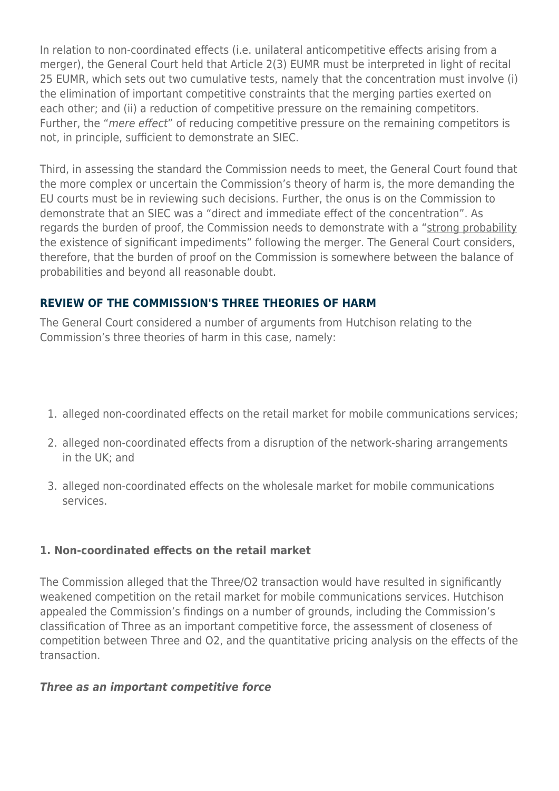In relation to non-coordinated effects (i.e. unilateral anticompetitive effects arising from a merger), the General Court held that Article 2(3) EUMR must be interpreted in light of recital 25 EUMR, which sets out two cumulative tests, namely that the concentration must involve (i) the elimination of important competitive constraints that the merging parties exerted on each other; and (ii) a reduction of competitive pressure on the remaining competitors. Further, the "mere effect" of reducing competitive pressure on the remaining competitors is not, in principle, sufficient to demonstrate an SIEC.

Third, in assessing the standard the Commission needs to meet, the General Court found that the more complex or uncertain the Commission's theory of harm is, the more demanding the EU courts must be in reviewing such decisions. Further, the onus is on the Commission to demonstrate that an SIEC was a "direct and immediate effect of the concentration". As regards the burden of proof, the Commission needs to demonstrate with a "strong probability the existence of significant impediments" following the merger. The General Court considers, therefore, that the burden of proof on the Commission is somewhere between the balance of probabilities and beyond all reasonable doubt.

#### **REVIEW OF THE COMMISSION'S THREE THEORIES OF HARM**

The General Court considered a number of arguments from Hutchison relating to the Commission's three theories of harm in this case, namely:

- 1. alleged non-coordinated effects on the retail market for mobile communications services;
- 2. alleged non-coordinated effects from a disruption of the network-sharing arrangements in the UK; and
- 3. alleged non-coordinated effects on the wholesale market for mobile communications services.

#### **1. Non-coordinated effects on the retail market**

The Commission alleged that the Three/O2 transaction would have resulted in significantly weakened competition on the retail market for mobile communications services. Hutchison appealed the Commission's findings on a number of grounds, including the Commission's classification of Three as an important competitive force, the assessment of closeness of competition between Three and O2, and the quantitative pricing analysis on the effects of the transaction.

#### *Three as an important competitive force*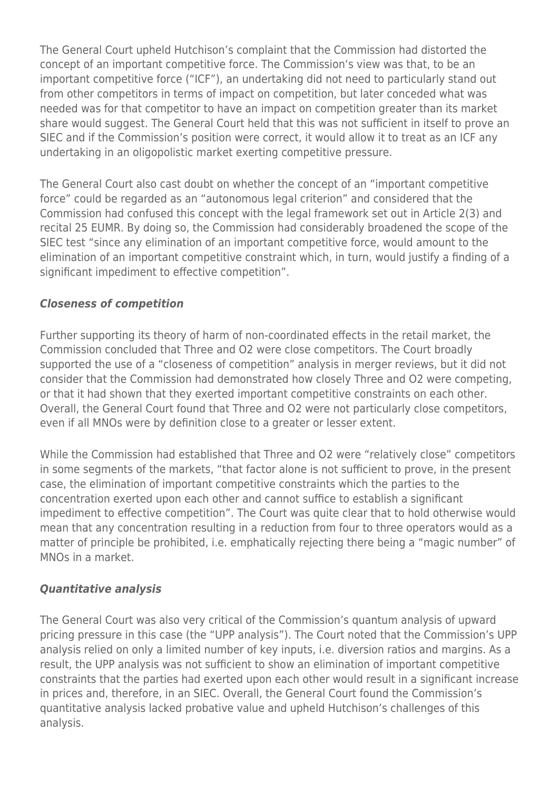The General Court upheld Hutchison's complaint that the Commission had distorted the concept of an important competitive force. The Commission's view was that, to be an important competitive force ("ICF"), an undertaking did not need to particularly stand out from other competitors in terms of impact on competition, but later conceded what was needed was for that competitor to have an impact on competition greater than its market share would suggest. The General Court held that this was not sufficient in itself to prove an SIEC and if the Commission's position were correct, it would allow it to treat as an ICF any undertaking in an oligopolistic market exerting competitive pressure.

The General Court also cast doubt on whether the concept of an "important competitive force" could be regarded as an "autonomous legal criterion" and considered that the Commission had confused this concept with the legal framework set out in Article 2(3) and recital 25 EUMR. By doing so, the Commission had considerably broadened the scope of the SIEC test "since any elimination of an important competitive force, would amount to the elimination of an important competitive constraint which, in turn, would justify a finding of a significant impediment to effective competition".

#### *Closeness of competition*

Further supporting its theory of harm of non-coordinated effects in the retail market, the Commission concluded that Three and O2 were close competitors. The Court broadly supported the use of a "closeness of competition" analysis in merger reviews, but it did not consider that the Commission had demonstrated how closely Three and O2 were competing, or that it had shown that they exerted important competitive constraints on each other. Overall, the General Court found that Three and O2 were not particularly close competitors, even if all MNOs were by definition close to a greater or lesser extent.

While the Commission had established that Three and O2 were "relatively close" competitors in some segments of the markets, "that factor alone is not sufficient to prove, in the present case, the elimination of important competitive constraints which the parties to the concentration exerted upon each other and cannot suffice to establish a significant impediment to effective competition". The Court was quite clear that to hold otherwise would mean that any concentration resulting in a reduction from four to three operators would as a matter of principle be prohibited, i.e. emphatically rejecting there being a "magic number" of MNOs in a market.

#### *Quantitative analysis*

The General Court was also very critical of the Commission's quantum analysis of upward pricing pressure in this case (the "UPP analysis"). The Court noted that the Commission's UPP analysis relied on only a limited number of key inputs, i.e. diversion ratios and margins. As a result, the UPP analysis was not sufficient to show an elimination of important competitive constraints that the parties had exerted upon each other would result in a significant increase in prices and, therefore, in an SIEC. Overall, the General Court found the Commission's quantitative analysis lacked probative value and upheld Hutchison's challenges of this analysis.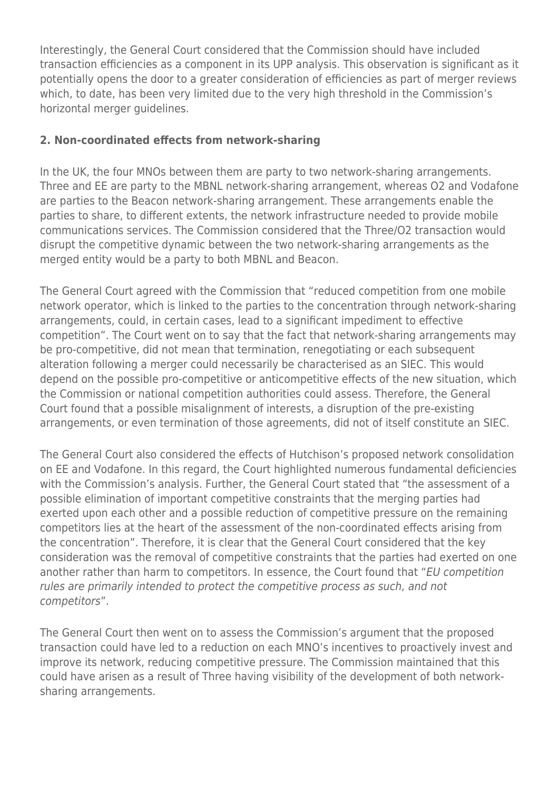Interestingly, the General Court considered that the Commission should have included transaction efficiencies as a component in its UPP analysis. This observation is significant as it potentially opens the door to a greater consideration of efficiencies as part of merger reviews which, to date, has been very limited due to the very high threshold in the Commission's horizontal merger guidelines.

#### **2. Non-coordinated effects from network-sharing**

In the UK, the four MNOs between them are party to two network-sharing arrangements. Three and EE are party to the MBNL network-sharing arrangement, whereas O2 and Vodafone are parties to the Beacon network-sharing arrangement. These arrangements enable the parties to share, to different extents, the network infrastructure needed to provide mobile communications services. The Commission considered that the Three/O2 transaction would disrupt the competitive dynamic between the two network-sharing arrangements as the merged entity would be a party to both MBNL and Beacon.

The General Court agreed with the Commission that "reduced competition from one mobile network operator, which is linked to the parties to the concentration through network-sharing arrangements, could, in certain cases, lead to a significant impediment to effective competition". The Court went on to say that the fact that network-sharing arrangements may be pro-competitive, did not mean that termination, renegotiating or each subsequent alteration following a merger could necessarily be characterised as an SIEC. This would depend on the possible pro-competitive or anticompetitive effects of the new situation, which the Commission or national competition authorities could assess. Therefore, the General Court found that a possible misalignment of interests, a disruption of the pre-existing arrangements, or even termination of those agreements, did not of itself constitute an SIEC.

The General Court also considered the effects of Hutchison's proposed network consolidation on EE and Vodafone. In this regard, the Court highlighted numerous fundamental deficiencies with the Commission's analysis. Further, the General Court stated that "the assessment of a possible elimination of important competitive constraints that the merging parties had exerted upon each other and a possible reduction of competitive pressure on the remaining competitors lies at the heart of the assessment of the non-coordinated effects arising from the concentration". Therefore, it is clear that the General Court considered that the key consideration was the removal of competitive constraints that the parties had exerted on one another rather than harm to competitors. In essence, the Court found that "EU competition rules are primarily intended to protect the competitive process as such, and not competitors".

The General Court then went on to assess the Commission's argument that the proposed transaction could have led to a reduction on each MNO's incentives to proactively invest and improve its network, reducing competitive pressure. The Commission maintained that this could have arisen as a result of Three having visibility of the development of both networksharing arrangements.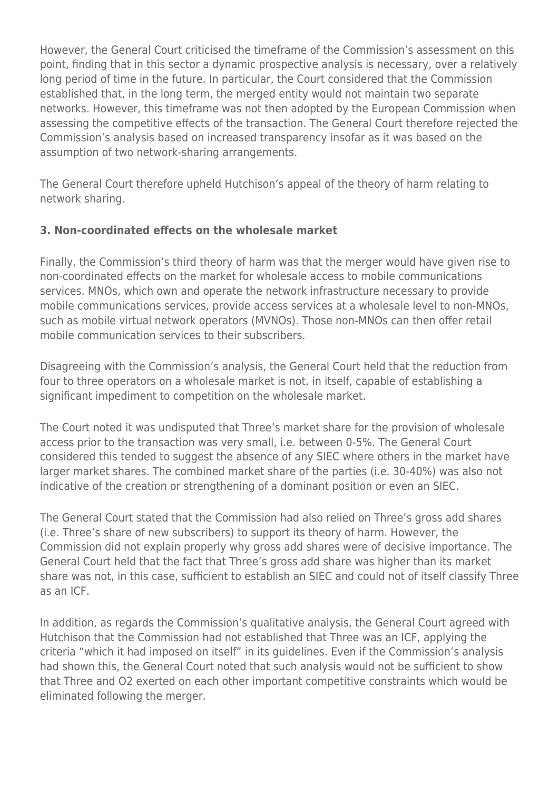However, the General Court criticised the timeframe of the Commission's assessment on this point, finding that in this sector a dynamic prospective analysis is necessary, over a relatively long period of time in the future. In particular, the Court considered that the Commission established that, in the long term, the merged entity would not maintain two separate networks. However, this timeframe was not then adopted by the European Commission when assessing the competitive effects of the transaction. The General Court therefore rejected the Commission's analysis based on increased transparency insofar as it was based on the assumption of two network-sharing arrangements.

The General Court therefore upheld Hutchison's appeal of the theory of harm relating to network sharing.

#### **3. Non-coordinated effects on the wholesale market**

Finally, the Commission's third theory of harm was that the merger would have given rise to non-coordinated effects on the market for wholesale access to mobile communications services. MNOs, which own and operate the network infrastructure necessary to provide mobile communications services, provide access services at a wholesale level to non-MNOs, such as mobile virtual network operators (MVNOs). Those non-MNOs can then offer retail mobile communication services to their subscribers.

Disagreeing with the Commission's analysis, the General Court held that the reduction from four to three operators on a wholesale market is not, in itself, capable of establishing a significant impediment to competition on the wholesale market.

The Court noted it was undisputed that Three's market share for the provision of wholesale access prior to the transaction was very small, i.e. between 0-5%. The General Court considered this tended to suggest the absence of any SIEC where others in the market have larger market shares. The combined market share of the parties (i.e. 30-40%) was also not indicative of the creation or strengthening of a dominant position or even an SIEC.

The General Court stated that the Commission had also relied on Three's gross add shares (i.e. Three's share of new subscribers) to support its theory of harm. However, the Commission did not explain properly why gross add shares were of decisive importance. The General Court held that the fact that Three's gross add share was higher than its market share was not, in this case, sufficient to establish an SIEC and could not of itself classify Three as an ICF.

In addition, as regards the Commission's qualitative analysis, the General Court agreed with Hutchison that the Commission had not established that Three was an ICF, applying the criteria "which it had imposed on itself" in its guidelines. Even if the Commission's analysis had shown this, the General Court noted that such analysis would not be sufficient to show that Three and O2 exerted on each other important competitive constraints which would be eliminated following the merger.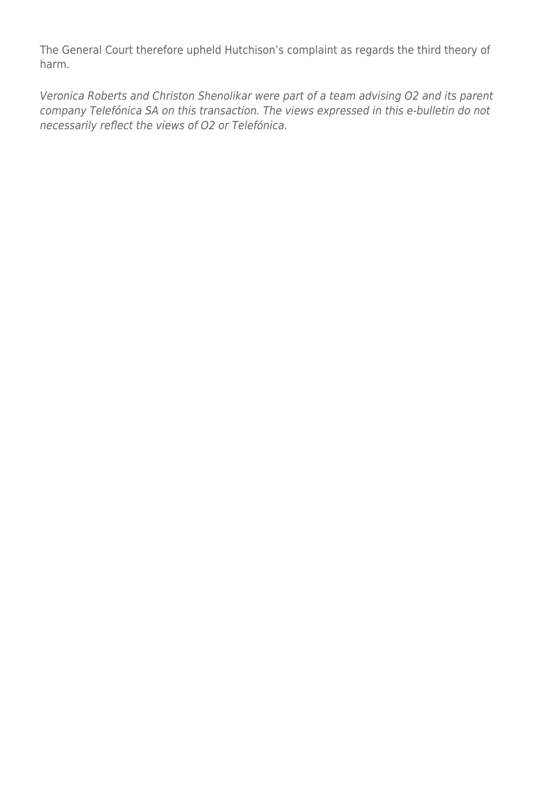The General Court therefore upheld Hutchison's complaint as regards the third theory of harm.

Veronica Roberts and Christon Shenolikar were part of a team advising O2 and its parent company Telefónica SA on this transaction. The views expressed in this e-bulletin do not necessarily reflect the views of O2 or Telefónica.